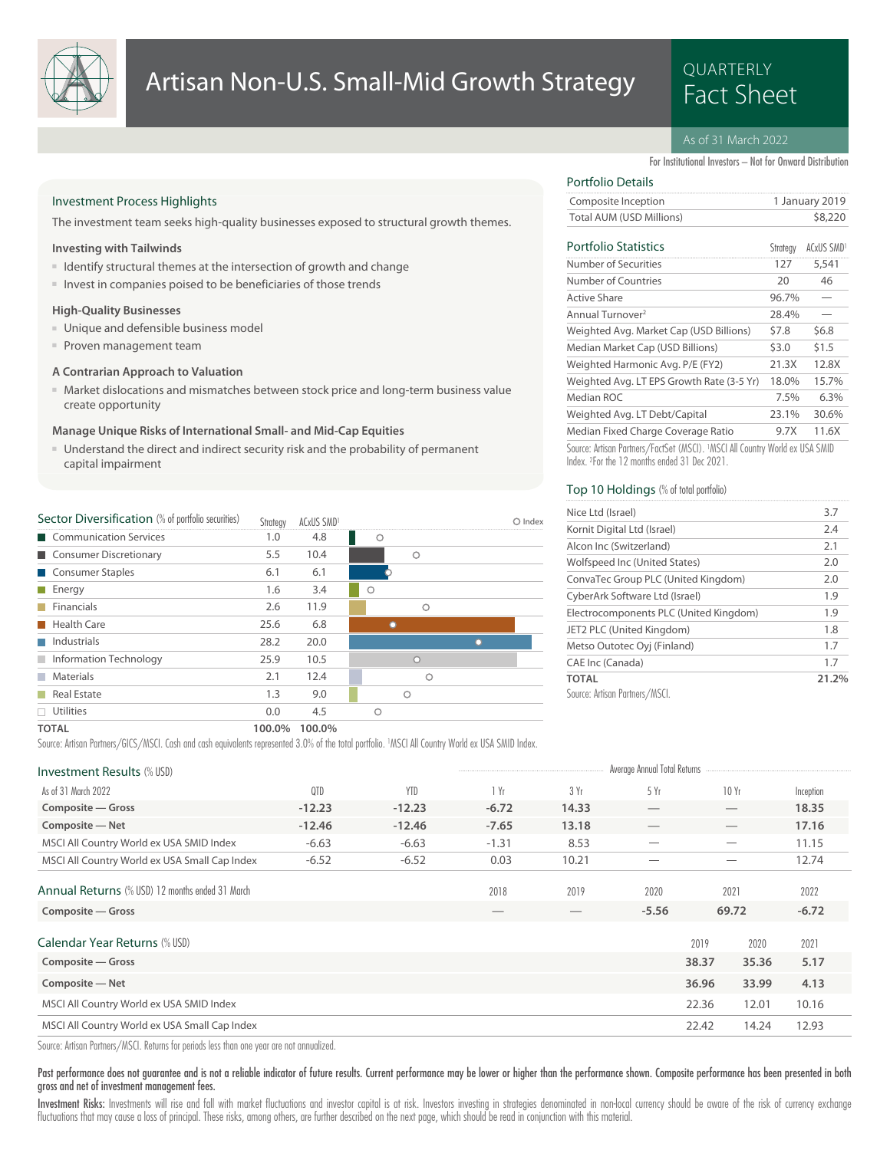

# **QUARTERLY**

# As of 31 March 2022

Total AUM (USD Millions) \$8,220 Composite Inception 1 January 2019

For Institutional Investors – Not for Onward Distribution

Strategy ACxUS SMD<sup>1</sup>

### Investment Process Highlights

The investment team seeks high-quality businesses exposed to structural growth themes.

#### **Investing with Tailwinds**

- Identify structural themes at the intersection of growth and change
- Invest in companies poised to be beneficiaries of those trends

#### **High-Quality Businesses**

- Unique and defensible business model
- Proven management team

# **A Contrarian Approach to Valuation**

■ Market dislocations and mismatches between stock price and long-term business value create opportunity

#### **Manage Unique Risks of International Small- and Mid-Cap Equities**

■ Understand the direct and indirect security risk and the probability of permanent capital impairment

| Sector Diversification (% of portfolio securities) | Strategy | ACxUS SMD <sup>1</sup> |         |          | Index |
|----------------------------------------------------|----------|------------------------|---------|----------|-------|
| Communication Services                             | 1.0      | 4.8                    | О       |          |       |
| Consumer Discretionary                             | 5.5      | 10.4                   |         | Ω        |       |
| Consumer Staples                                   | 6.1      | 6.1                    |         |          |       |
| $\blacksquare$ Energy                              | 1.6      | 3.4                    | $\circ$ |          |       |
| Financials                                         | 2.6      | 11.9                   |         | Ω        |       |
| <b>Health Care</b>                                 | 25.6     | 6.8                    |         |          |       |
| Industrials                                        | 28.2     | 20.0                   |         |          |       |
| Information Technology                             | 25.9     | 10.5                   |         | $\Omega$ |       |
| <b>Materials</b>                                   | 2.1      | 12.4                   |         | ◠        |       |
| Real Estate                                        | 1.3      | 9.0                    |         | Ο        |       |
| $\Box$ Utilities                                   | 0.0      | 4.5                    | O       |          |       |
| _____                                              |          |                        |         |          |       |

# Index. <sup>2</sup> For the 12 months ended 31 Dec 2021. Top 10 Holdings (% of total portfolio)

Portfolio Details

**Portfolio Statistics** 

| Nice Ltd (Israel)                      | 3.7   |
|----------------------------------------|-------|
| Kornit Digital Ltd (Israel)            | 2.4   |
| Alcon Inc (Switzerland)                | 2.1   |
| Wolfspeed Inc (United States)          | 2.0   |
| ConvaTec Group PLC (United Kingdom)    | 2.0   |
| CyberArk Software Ltd (Israel)         | 1.9   |
| Electrocomponents PLC (United Kingdom) | 1.9   |
| JET2 PLC (United Kingdom)              | 1.8   |
| Metso Outotec Oyj (Finland)            | 1.7   |
| CAE Inc (Canada)                       | 1.7   |
| <b>TOTAL</b>                           | 21.2% |
| Source: Artisan Partners/MSCL          |       |

Median Fixed Charge Coverage Ratio 9.7X 11.6X Weighted Avg. LT Debt/Capital 23.1% 30.6% Median ROC 2.5% 6.3% Weighted Avg. LT EPS Growth Rate (3-5 Yr) 18.0% 15.7% Weighted Harmonic Avg. P/E (FY2) 21.3X 12.8X Median Market Cap (USD Billions) \$3.0 \$1.5 Weighted Avg. Market Cap (USD Billions) \$7.8 \$6.8 Annual Turnover<sup>2</sup> 28.4% Active Share 96.7% Number of Countries 20 46 Number of Securities 127 5,541

Source: Artisan Partners/FactSet (MSCI). <sup>1</sup>MSCI All Country World ex USA SMID

**TOTAL 100.0% 100.0%**

Source: Artisan Partners/GICS/MSCI. Cash and cash equivalents represented 3.0% of the total portfolio. <sup>1</sup>MSCI All Country World ex USA SMID Index.

| <b>Investment Results (% USD)</b>                      |          |            |         |       | Average Annual Total Returns   |       |       |           |  |
|--------------------------------------------------------|----------|------------|---------|-------|--------------------------------|-------|-------|-----------|--|
| As of 31 March 2022                                    | QTD      | <b>YTD</b> | 1 Yr    | 3 Yr  | 5 Yr                           |       | 10 Yr | Inception |  |
| Composite - Gross                                      | $-12.23$ | $-12.23$   | $-6.72$ | 14.33 | $\overbrace{\hspace{25mm}}^{}$ |       |       | 18.35     |  |
| Composite - Net                                        | $-12.46$ | $-12.46$   | $-7.65$ | 13.18 |                                |       |       | 17.16     |  |
| MSCI All Country World ex USA SMID Index               | $-6.63$  | $-6.63$    | $-1.31$ | 8.53  |                                |       |       | 11.15     |  |
| MSCI All Country World ex USA Small Cap Index          | $-6.52$  | $-6.52$    | 0.03    | 10.21 |                                |       |       | 12.74     |  |
| <b>Annual Returns</b> (% USD) 12 months ended 31 March |          |            | 2018    | 2019  | 2020                           |       | 2021  | 2022      |  |
| Composite - Gross                                      |          |            |         |       | $-5.56$                        |       | 69.72 | $-6.72$   |  |
| Calendar Year Returns (% USD)                          |          |            |         |       |                                | 2019  | 2020  | 2021      |  |
| Composite - Gross                                      |          |            |         |       |                                | 38.37 | 35.36 | 5.17      |  |
| Composite - Net                                        |          |            |         |       |                                | 36.96 | 33.99 | 4.13      |  |
| MSCI All Country World ex USA SMID Index               |          |            |         |       |                                | 22.36 | 12.01 | 10.16     |  |
| MSCI All Country World ex USA Small Cap Index          |          |            |         |       |                                | 22.42 | 14.24 | 12.93     |  |
|                                                        |          |            |         |       |                                |       |       |           |  |

Source: Artisan Partners/MSCI. Returns for periods less than one year are not annualized.

#### Past performance does not guarantee and is not a reliable indicator of future results. Current performance may be lower or higher than the performance shown. Composite performance has been presented in both gross and net of investment management fees.

Investment Risks: Investments will rise and fall with market fluctuations and investor capital is at risk. Investors investing in strategies denominated in non-local currency should be aware of the risk of currency exchang fluctuations that may cause a loss of principal. These risks, among others, are further described on the next page, which should be read in conjunction with this material.